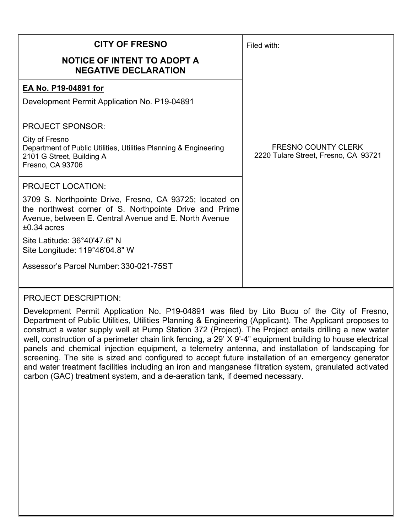| <b>CITY OF FRESNO</b>                                                                                                                                                                       | Filed with:                                                        |
|---------------------------------------------------------------------------------------------------------------------------------------------------------------------------------------------|--------------------------------------------------------------------|
| <b>NOTICE OF INTENT TO ADOPT A</b><br><b>NEGATIVE DECLARATION</b>                                                                                                                           |                                                                    |
| EA No. P19-04891 for                                                                                                                                                                        |                                                                    |
| Development Permit Application No. P19-04891                                                                                                                                                |                                                                    |
| <b>PROJECT SPONSOR:</b>                                                                                                                                                                     |                                                                    |
| City of Fresno<br>Department of Public Utilities, Utilities Planning & Engineering<br>2101 G Street, Building A<br>Fresno, CA 93706                                                         | <b>FRESNO COUNTY CLERK</b><br>2220 Tulare Street, Fresno, CA 93721 |
| <b>PROJECT LOCATION:</b>                                                                                                                                                                    |                                                                    |
| 3709 S. Northpointe Drive, Fresno, CA 93725; located on<br>the northwest corner of S. Northpointe Drive and Prime<br>Avenue, between E. Central Avenue and E. North Avenue<br>$±0.34$ acres |                                                                    |
| Site Latitude: 36°40'47.6" N<br>Site Longitude: 119°46'04.8" W                                                                                                                              |                                                                    |
| Assessor's Parcel Number: 330-021-75ST                                                                                                                                                      |                                                                    |

## PROJECT DESCRIPTION:

Development Permit Application No. P19-04891 was filed by Lito Bucu of the City of Fresno, Department of Public Utilities, Utilities Planning & Engineering (Applicant). The Applicant proposes to construct a water supply well at Pump Station 372 (Project). The Project entails drilling a new water well, construction of a perimeter chain link fencing, a 29' X 9'-4" equipment building to house electrical panels and chemical injection equipment, a telemetry antenna, and installation of landscaping for screening. The site is sized and configured to accept future installation of an emergency generator and water treatment facilities including an iron and manganese filtration system, granulated activated carbon (GAC) treatment system, and a de-aeration tank, if deemed necessary.